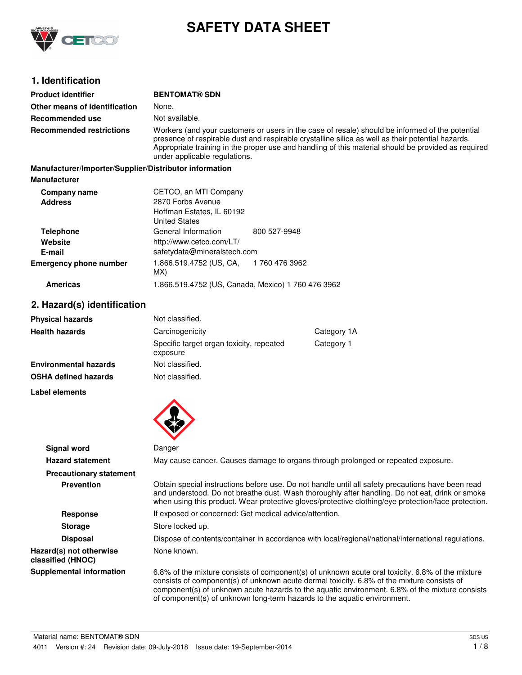

# **SAFETY DATA SHEET**

# **1. Identification**

| <b>Product identifier</b>                              | <b>BENTOMAT® SDN</b>                                                                                                                                                                                                                                                                                                                         |                |
|--------------------------------------------------------|----------------------------------------------------------------------------------------------------------------------------------------------------------------------------------------------------------------------------------------------------------------------------------------------------------------------------------------------|----------------|
| Other means of identification                          | None.                                                                                                                                                                                                                                                                                                                                        |                |
| Recommended use                                        | Not available.                                                                                                                                                                                                                                                                                                                               |                |
| <b>Recommended restrictions</b>                        | Workers (and your customers or users in the case of resale) should be informed of the potential<br>presence of respirable dust and respirable crystalline silica as well as their potential hazards.<br>Appropriate training in the proper use and handling of this material should be provided as required<br>under applicable regulations. |                |
| Manufacturer/Importer/Supplier/Distributor information |                                                                                                                                                                                                                                                                                                                                              |                |
| <b>Manufacturer</b>                                    |                                                                                                                                                                                                                                                                                                                                              |                |
| Company name<br><b>Address</b>                         | CETCO, an MTI Company<br>2870 Forbs Avenue                                                                                                                                                                                                                                                                                                   |                |
|                                                        | Hoffman Estates, IL 60192<br><b>United States</b>                                                                                                                                                                                                                                                                                            |                |
| <b>Telephone</b>                                       | General Information                                                                                                                                                                                                                                                                                                                          | 800 527-9948   |
| Website                                                | http://www.cetco.com/LT/                                                                                                                                                                                                                                                                                                                     |                |
| E-mail                                                 | safetydata@mineralstech.com                                                                                                                                                                                                                                                                                                                  |                |
| <b>Emergency phone number</b>                          | 1.866.519.4752 (US, CA,<br>MX)                                                                                                                                                                                                                                                                                                               | 1 760 476 3962 |

# **Americas** 1.866.519.4752 (US, Canada, Mexico) 1 760 476 3962

**Label elements**

# **2. Hazard(s) identification**

| <b>Physical hazards</b>      | Not classified.                                      |            |
|------------------------------|------------------------------------------------------|------------|
| <b>Health hazards</b>        | Carcinogenicity<br>Category 1A                       |            |
|                              | Specific target organ toxicity, repeated<br>exposure | Category 1 |
| <b>Environmental hazards</b> | Not classified.                                      |            |
| <b>OSHA defined hazards</b>  | Not classified.                                      |            |

| Signal word                                  | Danger                                                                                                                                                                                                                                                                                                                                                                       |
|----------------------------------------------|------------------------------------------------------------------------------------------------------------------------------------------------------------------------------------------------------------------------------------------------------------------------------------------------------------------------------------------------------------------------------|
| <b>Hazard statement</b>                      | May cause cancer. Causes damage to organs through prolonged or repeated exposure.                                                                                                                                                                                                                                                                                            |
| <b>Precautionary statement</b>               |                                                                                                                                                                                                                                                                                                                                                                              |
| <b>Prevention</b>                            | Obtain special instructions before use. Do not handle until all safety precautions have been read<br>and understood. Do not breathe dust. Wash thoroughly after handling. Do not eat, drink or smoke<br>when using this product. Wear protective gloves/protective clothing/eye protection/face protection.                                                                  |
| Response                                     | If exposed or concerned: Get medical advice/attention.                                                                                                                                                                                                                                                                                                                       |
| <b>Storage</b>                               | Store locked up.                                                                                                                                                                                                                                                                                                                                                             |
| <b>Disposal</b>                              | Dispose of contents/container in accordance with local/regional/national/international regulations.                                                                                                                                                                                                                                                                          |
| Hazard(s) not otherwise<br>classified (HNOC) | None known.                                                                                                                                                                                                                                                                                                                                                                  |
| <b>Supplemental information</b>              | 6.8% of the mixture consists of component(s) of unknown acute oral toxicity. 6.8% of the mixture<br>consists of component(s) of unknown acute dermal toxicity. 6.8% of the mixture consists of<br>component(s) of unknown acute hazards to the aquatic environment. 6.8% of the mixture consists<br>of component(s) of unknown long-term hazards to the aquatic environment. |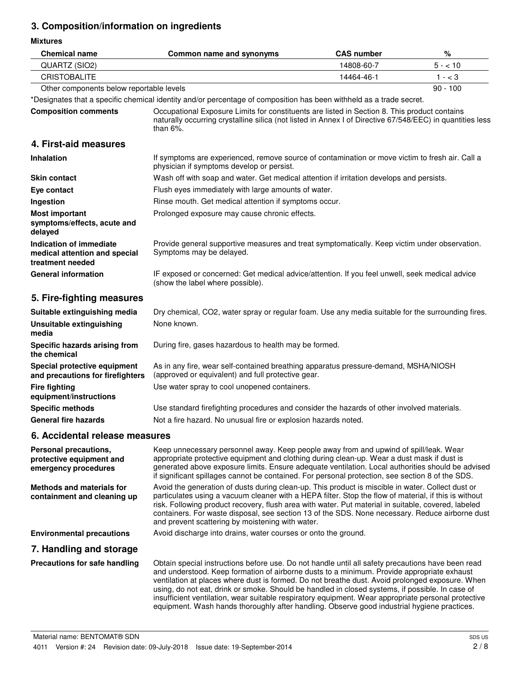# **3. Composition/information on ingredients**

**Mixtures**

| <b>Chemical name</b>                                                         | Common name and synonyms                                                                                                                                                                                                                                                                                                                                                                                                                                                                                                                                                                                    | <b>CAS number</b> | $\%$       |
|------------------------------------------------------------------------------|-------------------------------------------------------------------------------------------------------------------------------------------------------------------------------------------------------------------------------------------------------------------------------------------------------------------------------------------------------------------------------------------------------------------------------------------------------------------------------------------------------------------------------------------------------------------------------------------------------------|-------------------|------------|
| QUARTZ (SIO2)                                                                | 14808-60-7                                                                                                                                                                                                                                                                                                                                                                                                                                                                                                                                                                                                  |                   | $5 - 10$   |
| <b>CRISTOBALITE</b>                                                          |                                                                                                                                                                                                                                                                                                                                                                                                                                                                                                                                                                                                             | 14464-46-1        | $1 - < 3$  |
| Other components below reportable levels                                     |                                                                                                                                                                                                                                                                                                                                                                                                                                                                                                                                                                                                             |                   | $90 - 100$ |
|                                                                              | *Designates that a specific chemical identity and/or percentage of composition has been withheld as a trade secret.                                                                                                                                                                                                                                                                                                                                                                                                                                                                                         |                   |            |
| <b>Composition comments</b>                                                  | Occupational Exposure Limits for constituents are listed in Section 8. This product contains<br>naturally occurring crystalline silica (not listed in Annex I of Directive 67/548/EEC) in quantities less<br>than $6\%$ .                                                                                                                                                                                                                                                                                                                                                                                   |                   |            |
| 4. First-aid measures                                                        |                                                                                                                                                                                                                                                                                                                                                                                                                                                                                                                                                                                                             |                   |            |
| Inhalation                                                                   | If symptoms are experienced, remove source of contamination or move victim to fresh air. Call a<br>physician if symptoms develop or persist.                                                                                                                                                                                                                                                                                                                                                                                                                                                                |                   |            |
| <b>Skin contact</b>                                                          | Wash off with soap and water. Get medical attention if irritation develops and persists.                                                                                                                                                                                                                                                                                                                                                                                                                                                                                                                    |                   |            |
| Eye contact                                                                  | Flush eyes immediately with large amounts of water.                                                                                                                                                                                                                                                                                                                                                                                                                                                                                                                                                         |                   |            |
| Ingestion                                                                    | Rinse mouth. Get medical attention if symptoms occur.                                                                                                                                                                                                                                                                                                                                                                                                                                                                                                                                                       |                   |            |
| <b>Most important</b><br>symptoms/effects, acute and<br>delayed              | Prolonged exposure may cause chronic effects.                                                                                                                                                                                                                                                                                                                                                                                                                                                                                                                                                               |                   |            |
| Indication of immediate<br>medical attention and special<br>treatment needed | Provide general supportive measures and treat symptomatically. Keep victim under observation.<br>Symptoms may be delayed.                                                                                                                                                                                                                                                                                                                                                                                                                                                                                   |                   |            |
| <b>General information</b>                                                   | IF exposed or concerned: Get medical advice/attention. If you feel unwell, seek medical advice<br>(show the label where possible).                                                                                                                                                                                                                                                                                                                                                                                                                                                                          |                   |            |
| 5. Fire-fighting measures                                                    |                                                                                                                                                                                                                                                                                                                                                                                                                                                                                                                                                                                                             |                   |            |
| Suitable extinguishing media                                                 | Dry chemical, CO2, water spray or regular foam. Use any media suitable for the surrounding fires.                                                                                                                                                                                                                                                                                                                                                                                                                                                                                                           |                   |            |
| <b>Unsuitable extinguishing</b><br>media                                     | None known.                                                                                                                                                                                                                                                                                                                                                                                                                                                                                                                                                                                                 |                   |            |
| Specific hazards arising from<br>the chemical                                | During fire, gases hazardous to health may be formed.                                                                                                                                                                                                                                                                                                                                                                                                                                                                                                                                                       |                   |            |
| Special protective equipment<br>and precautions for firefighters             | As in any fire, wear self-contained breathing apparatus pressure-demand, MSHA/NIOSH<br>(approved or equivalent) and full protective gear.                                                                                                                                                                                                                                                                                                                                                                                                                                                                   |                   |            |
| <b>Fire fighting</b><br>equipment/instructions                               | Use water spray to cool unopened containers.                                                                                                                                                                                                                                                                                                                                                                                                                                                                                                                                                                |                   |            |
| <b>Specific methods</b>                                                      | Use standard firefighting procedures and consider the hazards of other involved materials.                                                                                                                                                                                                                                                                                                                                                                                                                                                                                                                  |                   |            |
| <b>General fire hazards</b>                                                  | Not a fire hazard. No unusual fire or explosion hazards noted.                                                                                                                                                                                                                                                                                                                                                                                                                                                                                                                                              |                   |            |
| 6. Accidental release measures                                               |                                                                                                                                                                                                                                                                                                                                                                                                                                                                                                                                                                                                             |                   |            |
| Personal precautions,<br>protective equipment and<br>emergency procedures    | Keep unnecessary personnel away. Keep people away from and upwind of spill/leak. Wear<br>appropriate protective equipment and clothing during clean-up. Wear a dust mask if dust is<br>generated above exposure limits. Ensure adequate ventilation. Local authorities should be advised<br>if significant spillages cannot be contained. For personal protection, see section 8 of the SDS.                                                                                                                                                                                                                |                   |            |
| <b>Methods and materials for</b><br>containment and cleaning up              | Avoid the generation of dusts during clean-up. This product is miscible in water. Collect dust or<br>particulates using a vacuum cleaner with a HEPA filter. Stop the flow of material, if this is without<br>risk. Following product recovery, flush area with water. Put material in suitable, covered, labeled<br>containers. For waste disposal, see section 13 of the SDS. None necessary. Reduce airborne dust<br>and prevent scattering by moistening with water.                                                                                                                                    |                   |            |
| <b>Environmental precautions</b>                                             | Avoid discharge into drains, water courses or onto the ground.                                                                                                                                                                                                                                                                                                                                                                                                                                                                                                                                              |                   |            |
| 7. Handling and storage                                                      |                                                                                                                                                                                                                                                                                                                                                                                                                                                                                                                                                                                                             |                   |            |
| Precautions for safe handling                                                | Obtain special instructions before use. Do not handle until all safety precautions have been read<br>and understood. Keep formation of airborne dusts to a minimum. Provide appropriate exhaust<br>ventilation at places where dust is formed. Do not breathe dust. Avoid prolonged exposure. When<br>using, do not eat, drink or smoke. Should be handled in closed systems, if possible. In case of<br>insufficient ventilation, wear suitable respiratory equipment. Wear appropriate personal protective<br>equipment. Wash hands thoroughly after handling. Observe good industrial hygiene practices. |                   |            |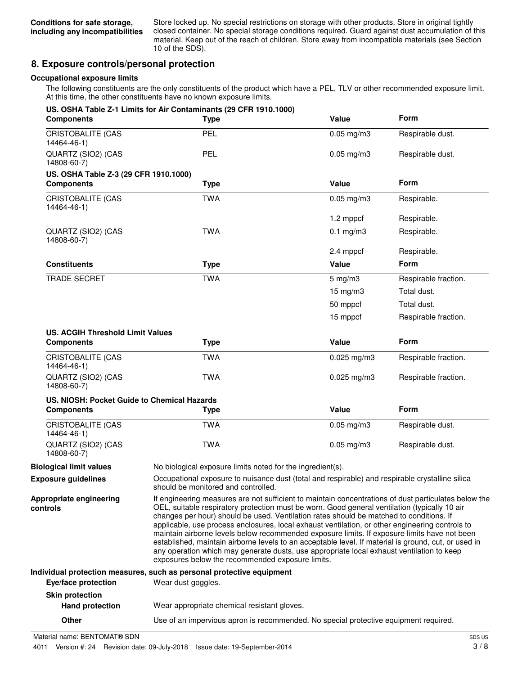Store locked up. No special restrictions on storage with other products. Store in original tightly closed container. No special storage conditions required. Guard against dust accumulation of this material. Keep out of the reach of children. Store away from incompatible materials (see Section 10 of the SDS).

# **8. Exposure controls/personal protection**

#### **Occupational exposure limits**

The following constituents are the only constituents of the product which have a PEL, TLV or other recommended exposure limit. At this time, the other constituents have no known exposure limits.

| <b>Components</b>                           | US. OSHA Table Z-1 Limits for Air Contaminants (29 CFR 1910.1000)<br><b>Type</b>                                                                                                                                                                                                                                                                                                                                                                                                                                                                                                                                                                                                                                                                             | Value                                                                                           | <b>Form</b>          |
|---------------------------------------------|--------------------------------------------------------------------------------------------------------------------------------------------------------------------------------------------------------------------------------------------------------------------------------------------------------------------------------------------------------------------------------------------------------------------------------------------------------------------------------------------------------------------------------------------------------------------------------------------------------------------------------------------------------------------------------------------------------------------------------------------------------------|-------------------------------------------------------------------------------------------------|----------------------|
| <b>CRISTOBALITE (CAS</b><br>14464-46-1)     | PEL                                                                                                                                                                                                                                                                                                                                                                                                                                                                                                                                                                                                                                                                                                                                                          | $0.05$ mg/m $3$                                                                                 | Respirable dust.     |
| QUARTZ (SIO2) (CAS<br>14808-60-7)           | <b>PEL</b>                                                                                                                                                                                                                                                                                                                                                                                                                                                                                                                                                                                                                                                                                                                                                   | $0.05$ mg/m $3$                                                                                 | Respirable dust.     |
| US. OSHA Table Z-3 (29 CFR 1910.1000)       |                                                                                                                                                                                                                                                                                                                                                                                                                                                                                                                                                                                                                                                                                                                                                              |                                                                                                 |                      |
| <b>Components</b>                           | <b>Type</b>                                                                                                                                                                                                                                                                                                                                                                                                                                                                                                                                                                                                                                                                                                                                                  | Value                                                                                           | <b>Form</b>          |
| CRISTOBALITE (CAS<br>14464-46-1)            | <b>TWA</b>                                                                                                                                                                                                                                                                                                                                                                                                                                                                                                                                                                                                                                                                                                                                                   | $0.05$ mg/m $3$                                                                                 | Respirable.          |
|                                             |                                                                                                                                                                                                                                                                                                                                                                                                                                                                                                                                                                                                                                                                                                                                                              | 1.2 mppcf                                                                                       | Respirable.          |
| QUARTZ (SIO2) (CAS<br>14808-60-7)           | <b>TWA</b>                                                                                                                                                                                                                                                                                                                                                                                                                                                                                                                                                                                                                                                                                                                                                   | $0.1$ mg/m $3$                                                                                  | Respirable.          |
|                                             |                                                                                                                                                                                                                                                                                                                                                                                                                                                                                                                                                                                                                                                                                                                                                              | 2.4 mppcf                                                                                       | Respirable.          |
| <b>Constituents</b>                         | <b>Type</b>                                                                                                                                                                                                                                                                                                                                                                                                                                                                                                                                                                                                                                                                                                                                                  | Value                                                                                           | <b>Form</b>          |
| <b>TRADE SECRET</b>                         | <b>TWA</b>                                                                                                                                                                                                                                                                                                                                                                                                                                                                                                                                                                                                                                                                                                                                                   | $5$ mg/m $3$                                                                                    | Respirable fraction. |
|                                             |                                                                                                                                                                                                                                                                                                                                                                                                                                                                                                                                                                                                                                                                                                                                                              | $15 \text{ mg/m}$ 3                                                                             | Total dust.          |
|                                             |                                                                                                                                                                                                                                                                                                                                                                                                                                                                                                                                                                                                                                                                                                                                                              | 50 mppcf                                                                                        | Total dust.          |
|                                             |                                                                                                                                                                                                                                                                                                                                                                                                                                                                                                                                                                                                                                                                                                                                                              | 15 mppcf                                                                                        | Respirable fraction. |
| <b>US. ACGIH Threshold Limit Values</b>     |                                                                                                                                                                                                                                                                                                                                                                                                                                                                                                                                                                                                                                                                                                                                                              |                                                                                                 |                      |
| <b>Components</b>                           | <b>Type</b>                                                                                                                                                                                                                                                                                                                                                                                                                                                                                                                                                                                                                                                                                                                                                  | Value                                                                                           | Form                 |
| <b>CRISTOBALITE (CAS</b><br>14464-46-1)     | <b>TWA</b>                                                                                                                                                                                                                                                                                                                                                                                                                                                                                                                                                                                                                                                                                                                                                   | $0.025$ mg/m3                                                                                   | Respirable fraction. |
| QUARTZ (SIO2) (CAS<br>14808-60-7)           | <b>TWA</b>                                                                                                                                                                                                                                                                                                                                                                                                                                                                                                                                                                                                                                                                                                                                                   | $0.025$ mg/m3                                                                                   | Respirable fraction. |
| US. NIOSH: Pocket Guide to Chemical Hazards |                                                                                                                                                                                                                                                                                                                                                                                                                                                                                                                                                                                                                                                                                                                                                              |                                                                                                 |                      |
| <b>Components</b>                           | <b>Type</b>                                                                                                                                                                                                                                                                                                                                                                                                                                                                                                                                                                                                                                                                                                                                                  | Value                                                                                           | Form                 |
| <b>CRISTOBALITE (CAS</b><br>14464-46-1)     | <b>TWA</b>                                                                                                                                                                                                                                                                                                                                                                                                                                                                                                                                                                                                                                                                                                                                                   | $0.05$ mg/m $3$                                                                                 | Respirable dust.     |
| QUARTZ (SIO2) (CAS<br>14808-60-7)           | <b>TWA</b>                                                                                                                                                                                                                                                                                                                                                                                                                                                                                                                                                                                                                                                                                                                                                   | $0.05$ mg/m $3$                                                                                 | Respirable dust.     |
| <b>Biological limit values</b>              | No biological exposure limits noted for the ingredient(s).                                                                                                                                                                                                                                                                                                                                                                                                                                                                                                                                                                                                                                                                                                   |                                                                                                 |                      |
| <b>Exposure guidelines</b>                  | should be monitored and controlled.                                                                                                                                                                                                                                                                                                                                                                                                                                                                                                                                                                                                                                                                                                                          | Occupational exposure to nuisance dust (total and respirable) and respirable crystalline silica |                      |
| Appropriate engineering<br>controls         | If engineering measures are not sufficient to maintain concentrations of dust particulates below the<br>OEL, suitable respiratory protection must be worn. Good general ventilation (typically 10 air<br>changes per hour) should be used. Ventilation rates should be matched to conditions. If<br>applicable, use process enclosures, local exhaust ventilation, or other engineering controls to<br>maintain airborne levels below recommended exposure limits. If exposure limits have not been<br>established, maintain airborne levels to an acceptable level. If material is ground, cut, or used in<br>any operation which may generate dusts, use appropriate local exhaust ventilation to keep<br>exposures below the recommended exposure limits. |                                                                                                 |                      |
|                                             | Individual protection measures, such as personal protective equipment                                                                                                                                                                                                                                                                                                                                                                                                                                                                                                                                                                                                                                                                                        |                                                                                                 |                      |
| Eye/face protection                         | Wear dust goggles.                                                                                                                                                                                                                                                                                                                                                                                                                                                                                                                                                                                                                                                                                                                                           |                                                                                                 |                      |
| <b>Skin protection</b>                      |                                                                                                                                                                                                                                                                                                                                                                                                                                                                                                                                                                                                                                                                                                                                                              |                                                                                                 |                      |
| <b>Hand protection</b>                      | Wear appropriate chemical resistant gloves.                                                                                                                                                                                                                                                                                                                                                                                                                                                                                                                                                                                                                                                                                                                  |                                                                                                 |                      |

**Other** Use of an impervious apron is recommended. No special protective equipment required.

Material name: BENTOMAT® SDN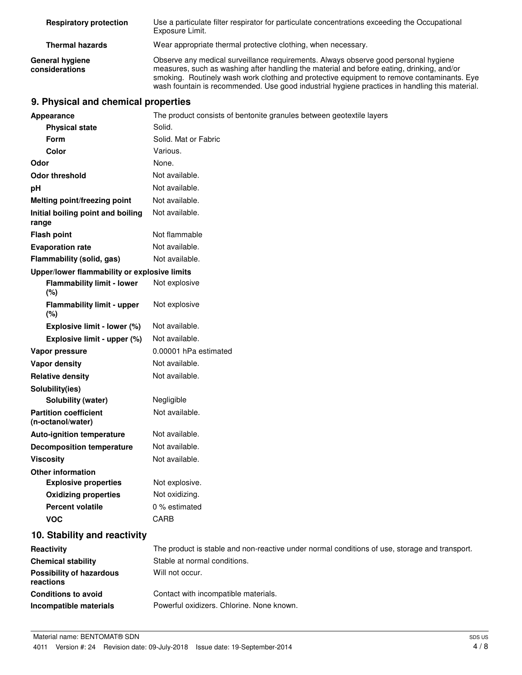| <b>Respiratory protection</b>     | Use a particulate filter respirator for particulate concentrations exceeding the Occupational<br>Exposure Limit.                                                                                                                                                                                                                                                                 |
|-----------------------------------|----------------------------------------------------------------------------------------------------------------------------------------------------------------------------------------------------------------------------------------------------------------------------------------------------------------------------------------------------------------------------------|
| <b>Thermal hazards</b>            | Wear appropriate thermal protective clothing, when necessary.                                                                                                                                                                                                                                                                                                                    |
| General hygiene<br>considerations | Observe any medical surveillance requirements. Always observe good personal hygiene<br>measures, such as washing after handling the material and before eating, drinking, and/or<br>smoking. Routinely wash work clothing and protective equipment to remove contaminants. Eye<br>wash fountain is recommended. Use good industrial hygiene practices in handling this material. |

# **9. Physical and chemical properties**

| Appearance                                        | The product consists of bentonite granules between geotextile layers                          |
|---------------------------------------------------|-----------------------------------------------------------------------------------------------|
| <b>Physical state</b>                             | Solid.                                                                                        |
| <b>Form</b>                                       | Solid. Mat or Fabric                                                                          |
| Color                                             | Various.                                                                                      |
| Odor                                              | None.                                                                                         |
| <b>Odor threshold</b>                             | Not available.                                                                                |
| рH                                                | Not available.                                                                                |
| Melting point/freezing point                      | Not available.                                                                                |
| Initial boiling point and boiling<br>range        | Not available.                                                                                |
| <b>Flash point</b>                                | Not flammable                                                                                 |
| <b>Evaporation rate</b>                           | Not available.                                                                                |
| Flammability (solid, gas)                         | Not available.                                                                                |
| Upper/lower flammability or explosive limits      |                                                                                               |
| <b>Flammability limit - lower</b><br>$(\%)$       | Not explosive                                                                                 |
| <b>Flammability limit - upper</b><br>$(\%)$       | Not explosive                                                                                 |
| Explosive limit - lower (%)                       | Not available.                                                                                |
| Explosive limit - upper (%)                       | Not available.                                                                                |
| Vapor pressure                                    | 0.00001 hPa estimated                                                                         |
| Vapor density                                     | Not available.                                                                                |
| <b>Relative density</b>                           | Not available.                                                                                |
| Solubility(ies)                                   |                                                                                               |
| Solubility (water)                                | Negligible                                                                                    |
| <b>Partition coefficient</b><br>(n-octanol/water) | Not available.                                                                                |
| Auto-ignition temperature                         | Not available.                                                                                |
| <b>Decomposition temperature</b>                  | Not available.                                                                                |
| <b>Viscosity</b>                                  | Not available.                                                                                |
| <b>Other information</b>                          |                                                                                               |
| <b>Explosive properties</b>                       | Not explosive.                                                                                |
| <b>Oxidizing properties</b>                       | Not oxidizing.                                                                                |
| <b>Percent volatile</b>                           | 0 % estimated                                                                                 |
| <b>VOC</b>                                        | CARB                                                                                          |
| 10. Stability and reactivity                      |                                                                                               |
| Reactivity                                        | The product is stable and non-reactive under normal conditions of use, storage and transport. |
| <b>Chemical stability</b>                         | Stable at normal conditions.                                                                  |
| <b>Possibility of hazardous</b><br>reactions      | Will not occur.                                                                               |
| <b>Conditions to avoid</b>                        | Contact with incompatible materials.                                                          |
| Incompatible materials                            | Powerful oxidizers. Chlorine. None known.                                                     |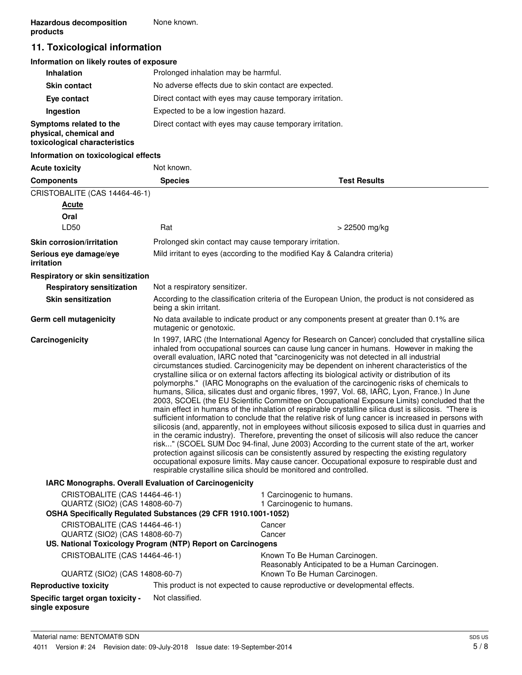# **11. Toxicological information**

# **Information on likely routes of exposure**

| <b>Inhalation</b>                                                                  | Prolonged inhalation may be harmful.                     |
|------------------------------------------------------------------------------------|----------------------------------------------------------|
| <b>Skin contact</b>                                                                | No adverse effects due to skin contact are expected.     |
| Eye contact                                                                        | Direct contact with eyes may cause temporary irritation. |
| Ingestion                                                                          | Expected to be a low ingestion hazard.                   |
| Symptoms related to the<br>physical, chemical and<br>toxicological characteristics | Direct contact with eyes may cause temporary irritation. |

#### **Information on toxicological effects**

| <b>Acute toxicity</b>                                                                                                             | Not known.                                                                                                                                                                                                                                                                                                                                                                                                                                                                                                                                                                                                                                                                                                                                                                                                                                                                                                                                                                                                                                                                                                                                                                                                                                                                                                                                                                                                                                                                                                                                                                                         |                                                                                                                            |  |
|-----------------------------------------------------------------------------------------------------------------------------------|----------------------------------------------------------------------------------------------------------------------------------------------------------------------------------------------------------------------------------------------------------------------------------------------------------------------------------------------------------------------------------------------------------------------------------------------------------------------------------------------------------------------------------------------------------------------------------------------------------------------------------------------------------------------------------------------------------------------------------------------------------------------------------------------------------------------------------------------------------------------------------------------------------------------------------------------------------------------------------------------------------------------------------------------------------------------------------------------------------------------------------------------------------------------------------------------------------------------------------------------------------------------------------------------------------------------------------------------------------------------------------------------------------------------------------------------------------------------------------------------------------------------------------------------------------------------------------------------------|----------------------------------------------------------------------------------------------------------------------------|--|
| <b>Components</b>                                                                                                                 | <b>Species</b>                                                                                                                                                                                                                                                                                                                                                                                                                                                                                                                                                                                                                                                                                                                                                                                                                                                                                                                                                                                                                                                                                                                                                                                                                                                                                                                                                                                                                                                                                                                                                                                     | <b>Test Results</b>                                                                                                        |  |
| CRISTOBALITE (CAS 14464-46-1)                                                                                                     |                                                                                                                                                                                                                                                                                                                                                                                                                                                                                                                                                                                                                                                                                                                                                                                                                                                                                                                                                                                                                                                                                                                                                                                                                                                                                                                                                                                                                                                                                                                                                                                                    |                                                                                                                            |  |
| <b>Acute</b>                                                                                                                      |                                                                                                                                                                                                                                                                                                                                                                                                                                                                                                                                                                                                                                                                                                                                                                                                                                                                                                                                                                                                                                                                                                                                                                                                                                                                                                                                                                                                                                                                                                                                                                                                    |                                                                                                                            |  |
| Oral                                                                                                                              |                                                                                                                                                                                                                                                                                                                                                                                                                                                                                                                                                                                                                                                                                                                                                                                                                                                                                                                                                                                                                                                                                                                                                                                                                                                                                                                                                                                                                                                                                                                                                                                                    |                                                                                                                            |  |
| LD50                                                                                                                              | Rat                                                                                                                                                                                                                                                                                                                                                                                                                                                                                                                                                                                                                                                                                                                                                                                                                                                                                                                                                                                                                                                                                                                                                                                                                                                                                                                                                                                                                                                                                                                                                                                                | > 22500 mg/kg                                                                                                              |  |
| <b>Skin corrosion/irritation</b>                                                                                                  |                                                                                                                                                                                                                                                                                                                                                                                                                                                                                                                                                                                                                                                                                                                                                                                                                                                                                                                                                                                                                                                                                                                                                                                                                                                                                                                                                                                                                                                                                                                                                                                                    | Prolonged skin contact may cause temporary irritation.                                                                     |  |
| Serious eye damage/eye<br>irritation                                                                                              |                                                                                                                                                                                                                                                                                                                                                                                                                                                                                                                                                                                                                                                                                                                                                                                                                                                                                                                                                                                                                                                                                                                                                                                                                                                                                                                                                                                                                                                                                                                                                                                                    | Mild irritant to eyes (according to the modified Kay & Calandra criteria)                                                  |  |
| Respiratory or skin sensitization                                                                                                 |                                                                                                                                                                                                                                                                                                                                                                                                                                                                                                                                                                                                                                                                                                                                                                                                                                                                                                                                                                                                                                                                                                                                                                                                                                                                                                                                                                                                                                                                                                                                                                                                    |                                                                                                                            |  |
| <b>Respiratory sensitization</b>                                                                                                  | Not a respiratory sensitizer.                                                                                                                                                                                                                                                                                                                                                                                                                                                                                                                                                                                                                                                                                                                                                                                                                                                                                                                                                                                                                                                                                                                                                                                                                                                                                                                                                                                                                                                                                                                                                                      |                                                                                                                            |  |
| <b>Skin sensitization</b>                                                                                                         |                                                                                                                                                                                                                                                                                                                                                                                                                                                                                                                                                                                                                                                                                                                                                                                                                                                                                                                                                                                                                                                                                                                                                                                                                                                                                                                                                                                                                                                                                                                                                                                                    | According to the classification criteria of the European Union, the product is not considered as<br>being a skin irritant. |  |
| Germ cell mutagenicity                                                                                                            | No data available to indicate product or any components present at greater than 0.1% are<br>mutagenic or genotoxic.                                                                                                                                                                                                                                                                                                                                                                                                                                                                                                                                                                                                                                                                                                                                                                                                                                                                                                                                                                                                                                                                                                                                                                                                                                                                                                                                                                                                                                                                                |                                                                                                                            |  |
| Carcinogenicity                                                                                                                   | In 1997, IARC (the International Agency for Research on Cancer) concluded that crystalline silica<br>inhaled from occupational sources can cause lung cancer in humans. However in making the<br>overall evaluation, IARC noted that "carcinogenicity was not detected in all industrial<br>circumstances studied. Carcinogenicity may be dependent on inherent characteristics of the<br>crystalline silica or on external factors affecting its biological activity or distribution of its<br>polymorphs." (IARC Monographs on the evaluation of the carcinogenic risks of chemicals to<br>humans, Silica, silicates dust and organic fibres, 1997, Vol. 68, IARC, Lyon, France.) In June<br>2003, SCOEL (the EU Scientific Committee on Occupational Exposure Limits) concluded that the<br>main effect in humans of the inhalation of respirable crystalline silica dust is silicosis. "There is<br>sufficient information to conclude that the relative risk of lung cancer is increased in persons with<br>silicosis (and, apparently, not in employees without silicosis exposed to silica dust in quarries and<br>in the ceramic industry). Therefore, preventing the onset of silicosis will also reduce the cancer<br>risk" (SCOEL SUM Doc 94-final, June 2003) According to the current state of the art, worker<br>protection against silicosis can be consistently assured by respecting the existing regulatory<br>occupational exposure limits. May cause cancer. Occupational exposure to respirable dust and<br>respirable crystalline silica should be monitored and controlled. |                                                                                                                            |  |
| IARC Monographs. Overall Evaluation of Carcinogenicity                                                                            |                                                                                                                                                                                                                                                                                                                                                                                                                                                                                                                                                                                                                                                                                                                                                                                                                                                                                                                                                                                                                                                                                                                                                                                                                                                                                                                                                                                                                                                                                                                                                                                                    |                                                                                                                            |  |
| CRISTOBALITE (CAS 14464-46-1)<br>QUARTZ (SIO2) (CAS 14808-60-7)<br>OSHA Specifically Regulated Substances (29 CFR 1910.1001-1052) |                                                                                                                                                                                                                                                                                                                                                                                                                                                                                                                                                                                                                                                                                                                                                                                                                                                                                                                                                                                                                                                                                                                                                                                                                                                                                                                                                                                                                                                                                                                                                                                                    | 1 Carcinogenic to humans.<br>1 Carcinogenic to humans.                                                                     |  |
| CRISTOBALITE (CAS 14464-46-1)                                                                                                     |                                                                                                                                                                                                                                                                                                                                                                                                                                                                                                                                                                                                                                                                                                                                                                                                                                                                                                                                                                                                                                                                                                                                                                                                                                                                                                                                                                                                                                                                                                                                                                                                    | Cancer                                                                                                                     |  |
| QUARTZ (SIO2) (CAS 14808-60-7)                                                                                                    |                                                                                                                                                                                                                                                                                                                                                                                                                                                                                                                                                                                                                                                                                                                                                                                                                                                                                                                                                                                                                                                                                                                                                                                                                                                                                                                                                                                                                                                                                                                                                                                                    | Cancer                                                                                                                     |  |
| US. National Toxicology Program (NTP) Report on Carcinogens                                                                       |                                                                                                                                                                                                                                                                                                                                                                                                                                                                                                                                                                                                                                                                                                                                                                                                                                                                                                                                                                                                                                                                                                                                                                                                                                                                                                                                                                                                                                                                                                                                                                                                    |                                                                                                                            |  |
| CRISTOBALITE (CAS 14464-46-1)                                                                                                     |                                                                                                                                                                                                                                                                                                                                                                                                                                                                                                                                                                                                                                                                                                                                                                                                                                                                                                                                                                                                                                                                                                                                                                                                                                                                                                                                                                                                                                                                                                                                                                                                    | Known To Be Human Carcinogen.<br>Reasonably Anticipated to be a Human Carcinogen.                                          |  |
| QUARTZ (SIO2) (CAS 14808-60-7)                                                                                                    |                                                                                                                                                                                                                                                                                                                                                                                                                                                                                                                                                                                                                                                                                                                                                                                                                                                                                                                                                                                                                                                                                                                                                                                                                                                                                                                                                                                                                                                                                                                                                                                                    | Known To Be Human Carcinogen.                                                                                              |  |
| <b>Reproductive toxicity</b>                                                                                                      |                                                                                                                                                                                                                                                                                                                                                                                                                                                                                                                                                                                                                                                                                                                                                                                                                                                                                                                                                                                                                                                                                                                                                                                                                                                                                                                                                                                                                                                                                                                                                                                                    | This product is not expected to cause reproductive or developmental effects.                                               |  |
| Specific target organ toxicity -<br>single exposure                                                                               | Not classified.                                                                                                                                                                                                                                                                                                                                                                                                                                                                                                                                                                                                                                                                                                                                                                                                                                                                                                                                                                                                                                                                                                                                                                                                                                                                                                                                                                                                                                                                                                                                                                                    |                                                                                                                            |  |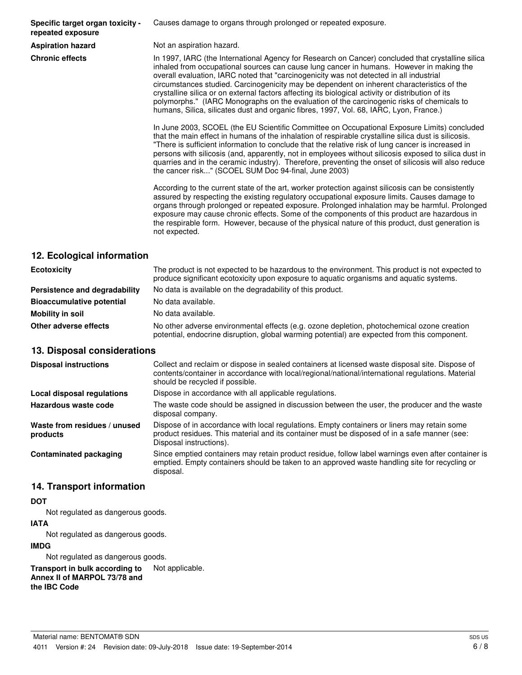**Specific target organ toxicity repeated exposure**

Causes damage to organs through prolonged or repeated exposure.

**Aspiration hazard** Not an aspiration hazard.

**Chronic effects** In 1997, IARC (the International Agency for Research on Cancer) concluded that crystalline silica inhaled from occupational sources can cause lung cancer in humans. However in making the overall evaluation, IARC noted that "carcinogenicity was not detected in all industrial circumstances studied. Carcinogenicity may be dependent on inherent characteristics of the crystalline silica or on external factors affecting its biological activity or distribution of its polymorphs." (IARC Monographs on the evaluation of the carcinogenic risks of chemicals to humans, Silica, silicates dust and organic fibres, 1997, Vol. 68, IARC, Lyon, France.)

> In June 2003, SCOEL (the EU Scientific Committee on Occupational Exposure Limits) concluded that the main effect in humans of the inhalation of respirable crystalline silica dust is silicosis. "There is sufficient information to conclude that the relative risk of lung cancer is increased in persons with silicosis (and, apparently, not in employees without silicosis exposed to silica dust in quarries and in the ceramic industry). Therefore, preventing the onset of silicosis will also reduce the cancer risk..." (SCOEL SUM Doc 94-final, June 2003)

> According to the current state of the art, worker protection against silicosis can be consistently assured by respecting the existing regulatory occupational exposure limits. Causes damage to organs through prolonged or repeated exposure. Prolonged inhalation may be harmful. Prolonged exposure may cause chronic effects. Some of the components of this product are hazardous in the respirable form. However, because of the physical nature of this product, dust generation is not expected.

# **12. Ecological information**

| <b>Ecotoxicity</b>               | The product is not expected to be hazardous to the environment. This product is not expected to<br>produce significant ecotoxicity upon exposure to aquatic organisms and aquatic systems. |  |
|----------------------------------|--------------------------------------------------------------------------------------------------------------------------------------------------------------------------------------------|--|
| Persistence and degradability    | No data is available on the degradability of this product.                                                                                                                                 |  |
| <b>Bioaccumulative potential</b> | No data available.                                                                                                                                                                         |  |
| Mobility in soil                 | No data available.                                                                                                                                                                         |  |
| Other adverse effects            | No other adverse environmental effects (e.g. ozone depletion, photochemical ozone creation<br>potential, endocrine disruption, global warming potential) are expected from this component. |  |

# **13. Disposal considerations**

| <b>Disposal instructions</b>             | Collect and reclaim or dispose in sealed containers at licensed waste disposal site. Dispose of<br>contents/container in accordance with local/regional/national/international regulations. Material<br>should be recycled if possible. |
|------------------------------------------|-----------------------------------------------------------------------------------------------------------------------------------------------------------------------------------------------------------------------------------------|
| Local disposal regulations               | Dispose in accordance with all applicable regulations.                                                                                                                                                                                  |
| Hazardous waste code                     | The waste code should be assigned in discussion between the user, the producer and the waste<br>disposal company.                                                                                                                       |
| Waste from residues / unused<br>products | Dispose of in accordance with local regulations. Empty containers or liners may retain some<br>product residues. This material and its container must be disposed of in a safe manner (see:<br>Disposal instructions).                  |
| <b>Contaminated packaging</b>            | Since emptied containers may retain product residue, follow label warnings even after container is<br>emptied. Empty containers should be taken to an approved waste handling site for recycling or<br>disposal.                        |

# **14. Transport information**

# **DOT**

Not regulated as dangerous goods.

#### **IATA**

Not regulated as dangerous goods.

# **IMDG**

Not regulated as dangerous goods.

**Transport in bulk according to** Not applicable. **Annex II of MARPOL 73/78 and the IBC Code**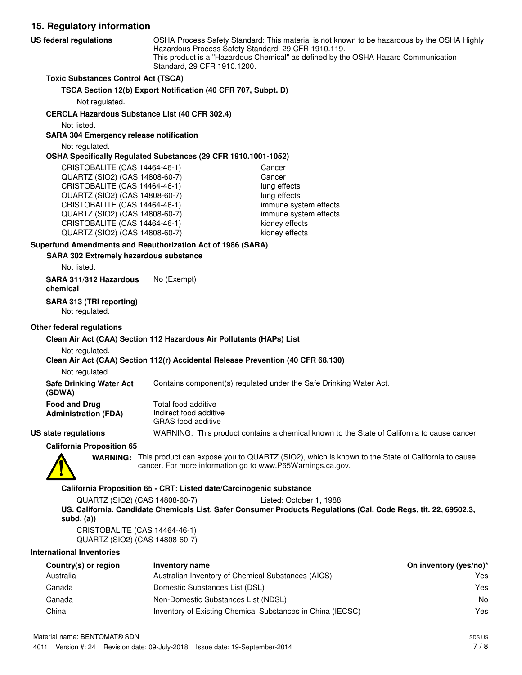**15. Regulatory information** OSHA Process Safety Standard: This material is not known to be hazardous by the OSHA Highly Hazardous Process Safety Standard, 29 CFR 1910.119. This product is a "Hazardous Chemical" as defined by the OSHA Hazard Communication Standard, 29 CFR 1910.1200. **US federal regulations Toxic Substances Control Act (TSCA) TSCA Section 12(b) Export Notification (40 CFR 707, Subpt. D)** Not regulated. **CERCLA Hazardous Substance List (40 CFR 302.4)** Not listed. **SARA 304 Emergency release notification** Not regulated. **OSHA Specifically Regulated Substances (29 CFR 1910.1001-1052)** CRISTOBALITE (CAS 14464-46-1) Cancer QUARTZ (SIO2) (CAS 14808-60-7) Cancer CRISTOBALITE (CAS 14464-46-1) lung effects QUARTZ (SIO2) (CAS 14808-60-7) lung effects CRISTOBALITE (CAS 14464-46-1) immune system effects QUARTZ (SIO2) (CAS 14808-60-7) immune system effects CRISTOBALITE (CAS 14464-46-1) kidney effects QUARTZ (SIO2) (CAS 14808-60-7) kidney effects **SARA 302 Extremely hazardous substance Superfund Amendments and Reauthorization Act of 1986 (SARA)** Not listed. **SARA 311/312 Hazardous** No (Exempt) **chemical**

**SARA 313 (TRI reporting)**

Not regulated.

#### **Other federal regulations**

#### **Clean Air Act (CAA) Section 112 Hazardous Air Pollutants (HAPs) List**

Not regulated.

#### **Clean Air Act (CAA) Section 112(r) Accidental Release Prevention (40 CFR 68.130)**

Not regulated.

**Safe Drinking Water Act** Contains component(s) regulated under the Safe Drinking Water Act.

| <b>Food and Drug</b> | Total food additive    |
|----------------------|------------------------|
| Administration (FDA) | Indirect food additive |
|                      | CDAC food odditive     |

GRAS food additive **US state regulations** WARNING: This product contains a chemical known to the State of California to cause cancer.

**California Proposition 65**



**(SDWA)**

WARNING: This product can expose you to QUARTZ (SIO2), which is known to the State of California to cause cancer. For more information go to www.P65Warnings.ca.gov.

#### **California Proposition 65 - CRT: Listed date/Carcinogenic substance**

QUARTZ (SIO2) (CAS 14808-60-7) Listed: October 1, 1988 **US. California. Candidate Chemicals List. Safer Consumer Products Regulations (Cal. Code Regs, tit. 22, 69502.3, subd. (a))**

CRISTOBALITE (CAS 14464-46-1) QUARTZ (SIO2) (CAS 14808-60-7)

#### **International Inventories**

| Country(s) or region | Inventory name                                             | On inventory (yes/no)* |
|----------------------|------------------------------------------------------------|------------------------|
| Australia            | Australian Inventory of Chemical Substances (AICS)         | Yes                    |
| Canada               | Domestic Substances List (DSL)                             | Yes                    |
| Canada               | Non-Domestic Substances List (NDSL)                        | No                     |
| China                | Inventory of Existing Chemical Substances in China (IECSC) | Yes                    |